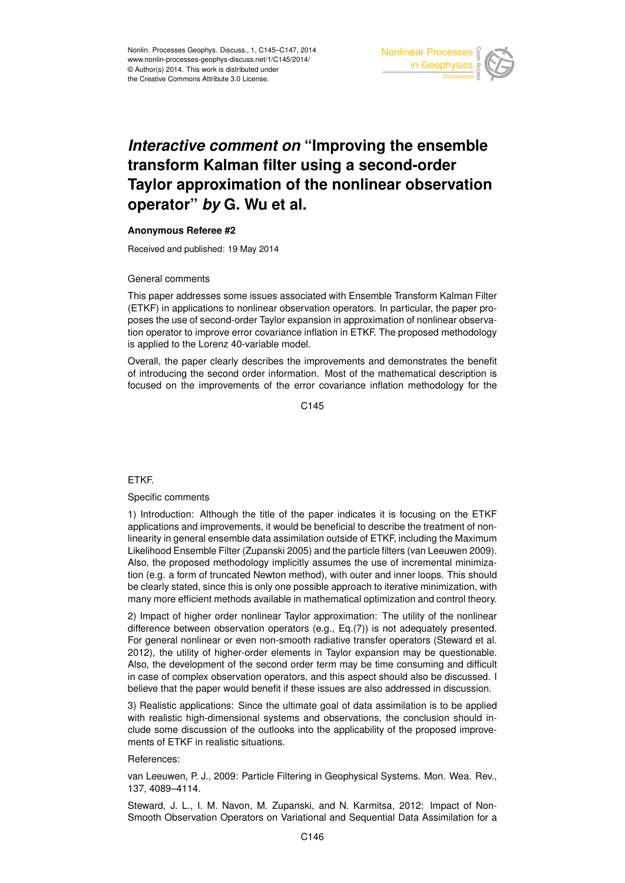

# *Interactive comment on* **"Improving the ensemble transform Kalman filter using a second-order Taylor approximation of the nonlinear observation operator"** *by* **G. Wu et al.**

## **Anonymous Referee #2**

Received and published: 19 May 2014

## General comments

This paper addresses some issues associated with Ensemble Transform Kalman Filter (ETKF) in applications to nonlinear observation operators. In particular, the paper proposes the use of second-order Taylor expansion in approximation of nonlinear observation operator to improve error covariance inflation in ETKF. The proposed methodology is applied to the Lorenz 40-variable model.

Overall, the paper clearly describes the improvements and demonstrates the benefit of introducing the second order information. Most of the mathematical description is focused on the improvements of the error covariance inflation methodology for the

C<sub>145</sub>

## ETKF.

## Specific comments

1) Introduction: Although the title of the paper indicates it is focusing on the ETKF applications and improvements, it would be beneficial to describe the treatment of nonlinearity in general ensemble data assimilation outside of ETKF, including the Maximum Likelihood Ensemble Filter (Zupanski 2005) and the particle filters (van Leeuwen 2009). Also, the proposed methodology implicitly assumes the use of incremental minimization (e.g. a form of truncated Newton method), with outer and inner loops. This should be clearly stated, since this is only one possible approach to iterative minimization, with many more efficient methods available in mathematical optimization and control theory.

2) Impact of higher order nonlinear Taylor approximation: The utility of the nonlinear difference between observation operators (e.g., Eq.(7)) is not adequately presented. For general nonlinear or even non-smooth radiative transfer operators (Steward et al. 2012), the utility of higher-order elements in Taylor expansion may be questionable. Also, the development of the second order term may be time consuming and difficult in case of complex observation operators, and this aspect should also be discussed. I believe that the paper would benefit if these issues are also addressed in discussion.

3) Realistic applications: Since the ultimate goal of data assimilation is to be applied with realistic high-dimensional systems and observations, the conclusion should include some discussion of the outlooks into the applicability of the proposed improvements of ETKF in realistic situations.

## References:

van Leeuwen, P. J., 2009: Particle Filtering in Geophysical Systems. Mon. Wea. Rev., 137, 4089–4114.

Steward, J. L., I. M. Navon, M. Zupanski, and N. Karmitsa, 2012: Impact of Non-Smooth Observation Operators on Variational and Sequential Data Assimilation for a